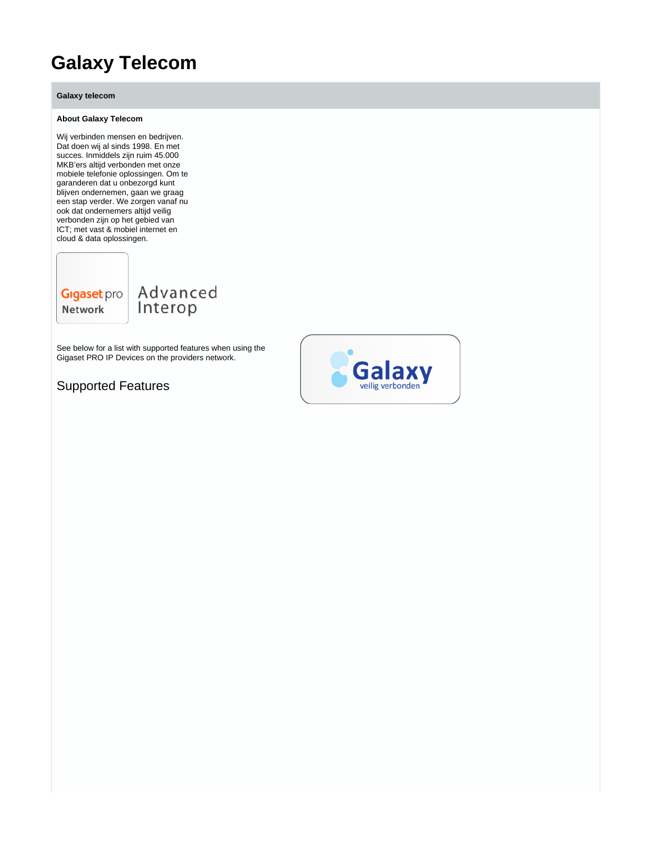# **Galaxy Telecom**

**Galaxy telecom**

#### **About Galaxy Telecom**

Wij verbinden mensen en bedrijven. Dat doen wij al sinds 1998. En met succes. Inmiddels zijn ruim 45.000 MKB'ers altijd verbonden met onze mobiele telefonie oplossingen. Om te garanderen dat u onbezorgd kunt blijven ondernemen, gaan we graag een stap verder. We zorgen vanaf nu ook dat ondernemers altijd veilig verbonden zijn op het gebied van ICT; met vast & mobiel internet en cloud & data oplossingen.

**Gigaset** pro Network

Advanced Interop

See below for a list with supported features when using the Gigaset PRO IP Devices on the providers network.

Supported Features

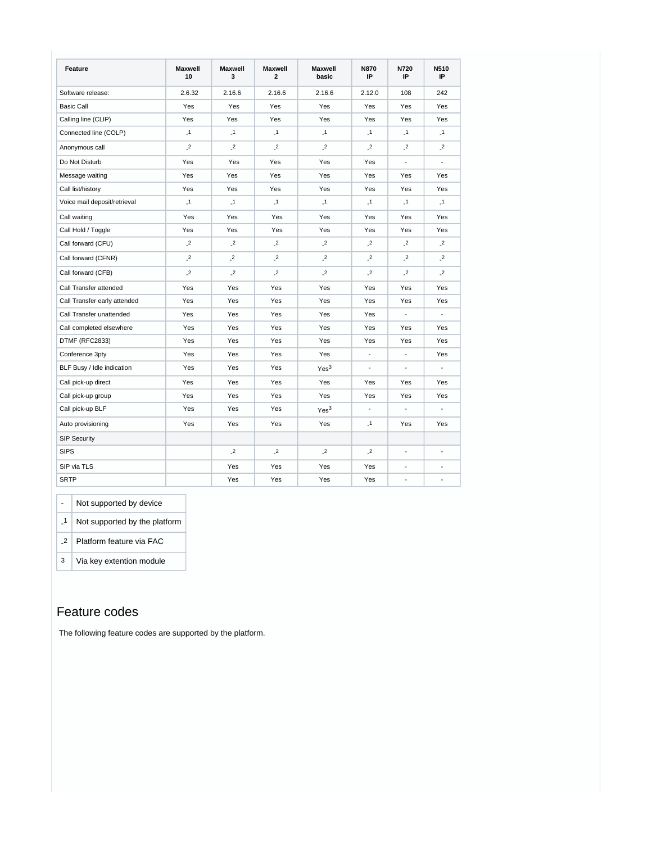| Feature                      | <b>Maxwell</b><br>10 | <b>Maxwell</b><br>3       | <b>Maxwell</b><br>$\mathbf{2}$ | <b>Maxwell</b><br>basic | <b>N870</b><br>IP | N720<br>IP               | N510<br>IP           |
|------------------------------|----------------------|---------------------------|--------------------------------|-------------------------|-------------------|--------------------------|----------------------|
| Software release:            | 2.6.32               | 2.16.6                    | 2.16.6                         | 2.16.6                  | 2.12.0            | 108                      | 242                  |
| <b>Basic Call</b>            | Yes                  | Yes                       | Yes                            | Yes                     | Yes               | Yes                      | Yes                  |
| Calling line (CLIP)          | Yes                  | Yes                       | Yes                            | Yes                     | Yes               | Yes                      | Yes                  |
| Connected line (COLP)        | $\overline{1}$       | $\mathbf{1}$              | $\overline{1}$                 | $\mathbf{1}$            | $\overline{1}$    | $\mathbf{1}$             | $\overline{1}$       |
| Anonymous call               | $\overline{2}$       | $\overline{\phantom{a}2}$ | $\overline{\phantom{a}2}$      | $\overline{c}$          | $\overline{c}$    | $\cdot^2$                | $\cdot$ <sup>2</sup> |
| Do Not Disturb               | Yes                  | Yes                       | Yes                            | Yes                     | Yes               | $\blacksquare$           | $\overline{a}$       |
| Message waiting              | Yes                  | Yes                       | Yes                            | Yes                     | Yes               | Yes                      | Yes                  |
| Call list/history            | Yes                  | Yes                       | Yes                            | <b>Yes</b>              | Yes               | Yes                      | Yes                  |
| Voice mail deposit/retrieval | $\overline{1}$       | $\mathbf{I}$              | $\mathbf{I}$                   | $\overline{1}$          | $\mathbf{I}$      | $\mathbf{I}$             | $\overline{1}$       |
| Call waiting                 | Yes                  | Yes                       | Yes                            | Yes                     | Yes               | Yes                      | Yes                  |
| Call Hold / Toggle           | Yes                  | Yes                       | Yes                            | Yes                     | Yes               | Yes                      | Yes                  |
| Call forward (CFU)           | $\mathbf{r}$         | $\overline{\phantom{a}2}$ | $\overline{\phantom{a}2}$      | $\overline{2}$          | $^{2}$            | $^{2}$                   | $\overline{c}$       |
| Call forward (CFNR)          | $\mathbf{r}$         | $\cdot$ <sup>2</sup>      | $\overline{c}$                 | $^{2}$                  | $^{2}$            | $^{2}$                   | $\overline{2}$       |
| Call forward (CFB)           | $\mathbf{r}$         | $\overline{\phantom{a}2}$ | $\overline{c}$                 | $\overline{2}$          | $\overline{c}$    | $^{2}$                   | $\overline{c}$       |
| Call Transfer attended       | Yes                  | Yes                       | Yes                            | Yes                     | Yes               | Yes                      | Yes                  |
| Call Transfer early attended | Yes                  | Yes                       | Yes                            | Yes                     | Yes               | Yes                      | Yes                  |
| Call Transfer unattended     | Yes                  | Yes                       | Yes                            | Yes                     | Yes               | $\overline{\phantom{a}}$ | $\blacksquare$       |
| Call completed elsewhere     | Yes                  | Yes                       | Yes                            | Yes                     | Yes               | Yes                      | Yes                  |
| DTMF (RFC2833)               | Yes                  | Yes                       | Yes                            | Yes                     | Yes               | Yes                      | Yes                  |
| Conference 3pty              | Yes                  | Yes                       | Yes                            | Yes                     | $\overline{a}$    | $\overline{a}$           | Yes                  |
| BLF Busy / Idle indication   | Yes                  | Yes                       | Yes                            | Yes <sup>3</sup>        |                   | $\overline{\phantom{a}}$ | $\blacksquare$       |
| Call pick-up direct          | Yes                  | Yes                       | Yes                            | Yes                     | Yes               | Yes                      | Yes                  |
| Call pick-up group           | Yes                  | Yes                       | Yes                            | Yes                     | Yes               | Yes                      | Yes                  |
| Call pick-up BLF             | Yes                  | Yes                       | Yes                            | Yes <sup>3</sup>        | ÷,                | $\overline{a}$           |                      |
| Auto provisioning            | Yes                  | Yes                       | Yes                            | Yes                     | $\mathbf{1}$      | Yes                      | Yes                  |
| <b>SIP Security</b>          |                      |                           |                                |                         |                   |                          |                      |
| <b>SIPS</b>                  |                      | $\overline{c}$            | $\cdot$ <sup>2</sup>           | $\cdot$ <sup>2</sup>    | $\overline{2}$    | $\blacksquare$           | ÷                    |
| SIP via TLS                  |                      | Yes                       | Yes                            | Yes                     | Yes               | $\overline{\phantom{a}}$ | ÷,                   |
| <b>SRTP</b>                  |                      | Yes                       | Yes                            | Yes                     | Yes               | $\overline{\phantom{a}}$ | ٠                    |

- Not supported by device

- 1 Not supported by the platform

- 2 Platform feature via FAC

3 Via key extention module

### Feature codes

The following feature codes are supported by the platform.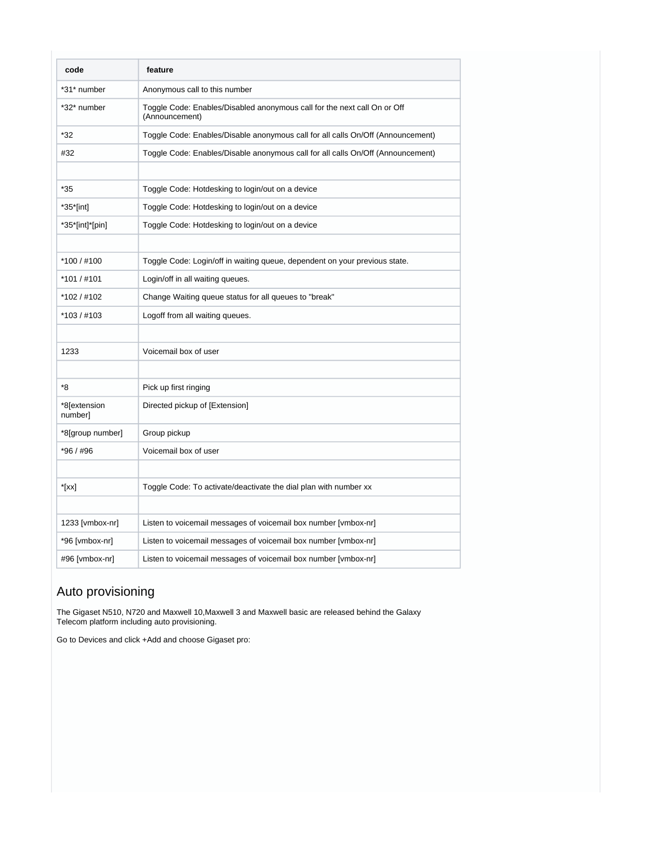| code                    | feature                                                                                    |
|-------------------------|--------------------------------------------------------------------------------------------|
| *31* number             | Anonymous call to this number                                                              |
| *32* number             | Toggle Code: Enables/Disabled anonymous call for the next call On or Off<br>(Announcement) |
| *32                     | Toggle Code: Enables/Disable anonymous call for all calls On/Off (Announcement)            |
| #32                     | Toggle Code: Enables/Disable anonymous call for all calls On/Off (Announcement)            |
|                         |                                                                                            |
| *35                     | Toggle Code: Hotdesking to login/out on a device                                           |
| *35*[int]               | Toggle Code: Hotdesking to login/out on a device                                           |
| *35*[int]*[pin]         | Toggle Code: Hotdesking to login/out on a device                                           |
|                         |                                                                                            |
| *100 / #100             | Toggle Code: Login/off in waiting queue, dependent on your previous state.                 |
| *101 / #101             | Login/off in all waiting queues.                                                           |
| *102/#102               | Change Waiting queue status for all queues to "break"                                      |
| *103/#103               | Logoff from all waiting queues.                                                            |
|                         |                                                                                            |
| 1233                    | Voicemail box of user                                                                      |
|                         |                                                                                            |
| *8                      | Pick up first ringing                                                                      |
| *8[extension<br>number] | Directed pickup of [Extension]                                                             |
| *8[group number]        | Group pickup                                                                               |
| *96 / #96               | Voicemail box of user                                                                      |
|                         |                                                                                            |
| $*$ [xx]                | Toggle Code: To activate/deactivate the dial plan with number xx                           |
|                         |                                                                                            |
| 1233 [vmbox-nr]         | Listen to voicemail messages of voicemail box number [vmbox-nr]                            |
| *96 [vmbox-nr]          | Listen to voicemail messages of voicemail box number [vmbox-nr]                            |
| #96 [vmbox-nr]          | Listen to voicemail messages of voicemail box number [vmbox-nr]                            |

## Auto provisioning

The Gigaset N510, N720 and Maxwell 10,Maxwell 3 and Maxwell basic are released behind the Galaxy Telecom platform including auto provisioning.

Go to Devices and click +Add and choose Gigaset pro: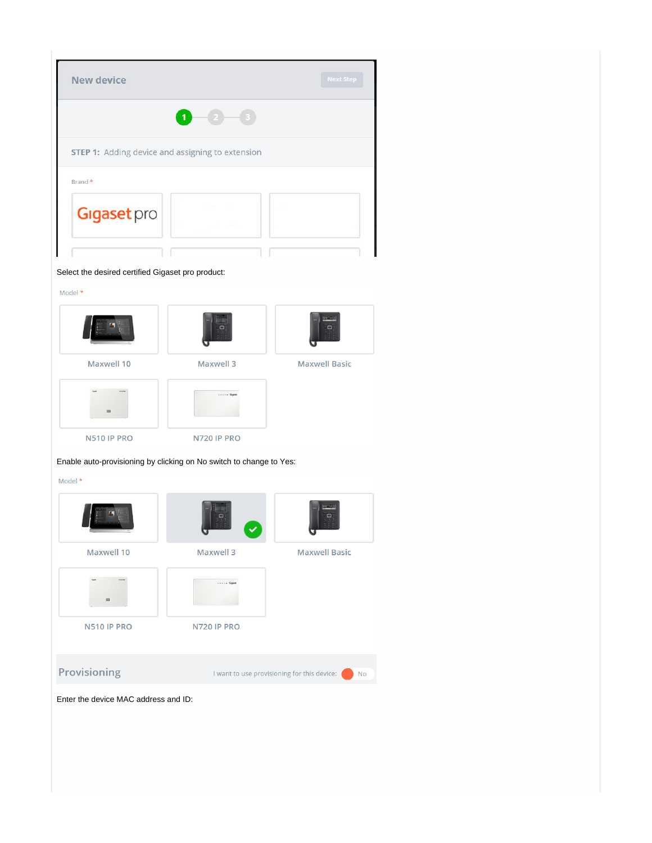| New device                                              |   | <b>Next Step</b> |
|---------------------------------------------------------|---|------------------|
|                                                         | 1 |                  |
| <b>STEP 1:</b> Adding device and assigning to extension |   |                  |
| Brand *                                                 |   |                  |
| <b>Gigaset</b> pro                                      |   |                  |
| Select the desired certified Gigaset pro product:       |   |                  |
| Model *                                                 |   |                  |
|                                                         | o | $\Box$           |

u

**Maxwell Basic** 

Maxwell 10 **Maxwell 3**  $\cdots$  . Ggest N510 IP PRO N720 IP PRO

Enable auto-provisioning by clicking on No switch to change to Yes:

Model \*



Enter the device MAC address and ID: